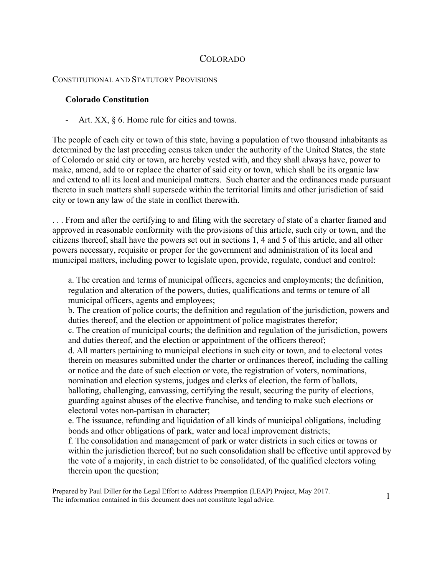# COLORADO

#### CONSTITUTIONAL AND STATUTORY PROVISIONS

### **Colorado Constitution**

Art. XX, § 6. Home rule for cities and towns.

The people of each city or town of this state, having a population of two thousand inhabitants as determined by the last preceding census taken under the authority of the United States, the state of Colorado or said city or town, are hereby vested with, and they shall always have, power to make, amend, add to or replace the charter of said city or town, which shall be its organic law and extend to all its local and municipal matters. Such charter and the ordinances made pursuant thereto in such matters shall supersede within the territorial limits and other jurisdiction of said city or town any law of the state in conflict therewith.

. . . From and after the certifying to and filing with the secretary of state of a charter framed and approved in reasonable conformity with the provisions of this article, such city or town, and the citizens thereof, shall have the powers set out in sections 1, 4 and 5 of this article, and all other powers necessary, requisite or proper for the government and administration of its local and municipal matters, including power to legislate upon, provide, regulate, conduct and control:

a. The creation and terms of municipal officers, agencies and employments; the definition, regulation and alteration of the powers, duties, qualifications and terms or tenure of all municipal officers, agents and employees;

b. The creation of police courts; the definition and regulation of the jurisdiction, powers and duties thereof, and the election or appointment of police magistrates therefor;

c. The creation of municipal courts; the definition and regulation of the jurisdiction, powers and duties thereof, and the election or appointment of the officers thereof;

d. All matters pertaining to municipal elections in such city or town, and to electoral votes therein on measures submitted under the charter or ordinances thereof, including the calling or notice and the date of such election or vote, the registration of voters, nominations, nomination and election systems, judges and clerks of election, the form of ballots, balloting, challenging, canvassing, certifying the result, securing the purity of elections, guarding against abuses of the elective franchise, and tending to make such elections or electoral votes non-partisan in character;

e. The issuance, refunding and liquidation of all kinds of municipal obligations, including bonds and other obligations of park, water and local improvement districts;

f. The consolidation and management of park or water districts in such cities or towns or within the jurisdiction thereof; but no such consolidation shall be effective until approved by the vote of a majority, in each district to be consolidated, of the qualified electors voting therein upon the question;

Prepared by Paul Diller for the Legal Effort to Address Preemption (LEAP) Project, May 2017. The information contained in this document does not constitute legal advice.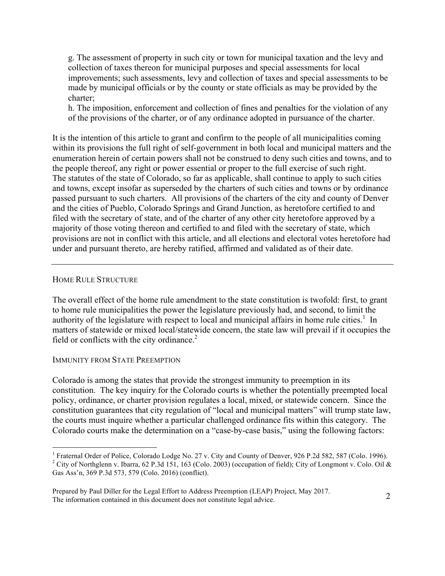g. The assessment of property in such city or town for municipal taxation and the levy and collection of taxes thereon for municipal purposes and special assessments for local improvements; such assessments, levy and collection of taxes and special assessments to be made by municipal officials or by the county or state officials as may be provided by the charter;

h. The imposition, enforcement and collection of fines and penalties for the violation of any of the provisions of the charter, or of any ordinance adopted in pursuance of the charter.

It is the intention of this article to grant and confirm to the people of all municipalities coming within its provisions the full right of self-government in both local and municipal matters and the enumeration herein of certain powers shall not be construed to deny such cities and towns, and to the people thereof, any right or power essential or proper to the full exercise of such right. The statutes of the state of Colorado, so far as applicable, shall continue to apply to such cities and towns, except insofar as superseded by the charters of such cities and towns or by ordinance passed pursuant to such charters. All provisions of the charters of the city and county of Denver and the cities of Pueblo, Colorado Springs and Grand Junction, as heretofore certified to and filed with the secretary of state, and of the charter of any other city heretofore approved by a majority of those voting thereon and certified to and filed with the secretary of state, which provisions are not in conflict with this article, and all elections and electoral votes heretofore had under and pursuant thereto, are hereby ratified, affirmed and validated as of their date.

#### HOME RULE STRUCTURE

The overall effect of the home rule amendment to the state constitution is twofold: first, to grant to home rule municipalities the power the legislature previously had, and second, to limit the authority of the legislature with respect to local and municipal affairs in home rule cities.<sup>1</sup> In matters of statewide or mixed local/statewide concern, the state law will prevail if it occupies the field or conflicts with the city ordinance. $2$ 

## IMMUNITY FROM STATE PREEMPTION

Colorado is among the states that provide the strongest immunity to preemption in its constitution. The key inquiry for the Colorado courts is whether the potentially preempted local policy, ordinance, or charter provision regulates a local, mixed, or statewide concern. Since the constitution guarantees that city regulation of "local and municipal matters" will trump state law, the courts must inquire whether a particular challenged ordinance fits within this category. The Colorado courts make the determination on a "case-by-case basis," using the following factors:

 $\frac{1}{1}$ <sup>1</sup> Fraternal Order of Police, Colorado Lodge No. 27 v. City and County of Denver, 926 P.2d 582, 587 (Colo. 1996).<br><sup>2</sup> City of Northglenn v. Ibarra, 62 P.3d 151, 163 (Colo. 2003) (occupation of field); City of Longmont v.

Gas Ass'n, 369 P.3d 573, 579 (Colo. 2016) (conflict).

Prepared by Paul Diller for the Legal Effort to Address Preemption (LEAP) Project, May 2017. The information contained in this document does not constitute legal advice.